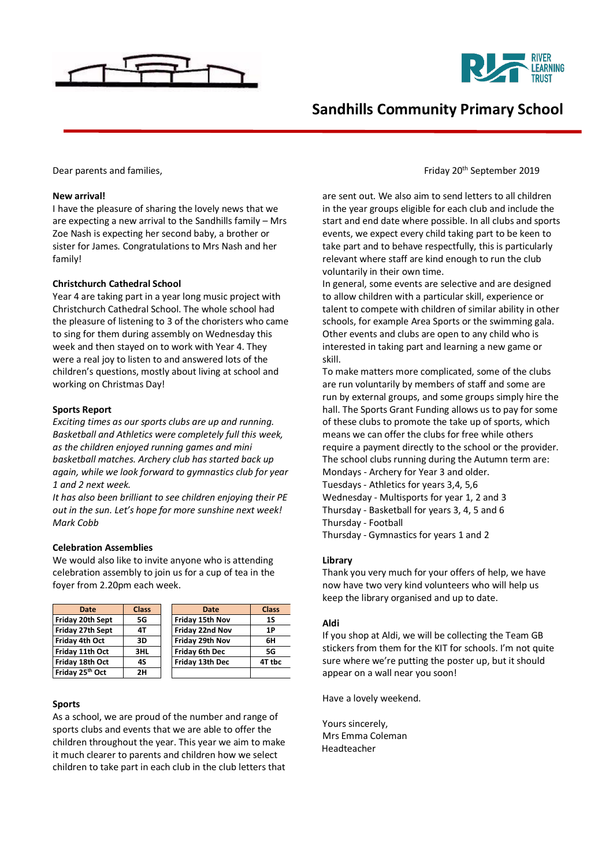



# **Sandhills Community Primary School**

#### **New arrival!**

I have the pleasure of sharing the lovely news that we are expecting a new arrival to the Sandhills family – Mrs Zoe Nash is expecting her second baby, a brother or sister for James. Congratulations to Mrs Nash and her family!

#### **Christchurch Cathedral School**

Year 4 are taking part in a year long music project with Christchurch Cathedral School. The whole school had the pleasure of listening to 3 of the choristers who came to sing for them during assembly on Wednesday this week and then stayed on to work with Year 4. They were a real joy to listen to and answered lots of the children's questions, mostly about living at school and working on Christmas Day!

#### **Sports Report**

*Exciting times as our sports clubs are up and running. Basketball and Athletics were completely full this week, as the children enjoyed running games and mini basketball matches. Archery club has started back up again, while we look forward to gymnastics club for year 1 and 2 next week.*

*It has also been brilliant to see children enjoying their PE out in the sun. Let's hope for more sunshine next week! Mark Cobb*

## **Celebration Assemblies**

We would also like to invite anyone who is attending celebration assembly to join us for a cup of tea in the foyer from 2.20pm each week.

| Date                        | <b>Class</b> | Date                  | <b>Class</b> |
|-----------------------------|--------------|-----------------------|--------------|
| Friday 20th Sept            | 5G           | Friday 15th Nov       | 1S           |
| Friday 27th Sept            | 4T           | Friday 22nd Nov       | 1P           |
| Friday 4th Oct              | 3D           | Friday 29th Nov       | 6Н           |
| Friday 11th Oct             | 3HL          | <b>Friday 6th Dec</b> | 5G           |
| Friday 18th Oct             | 4S           | Friday 13th Dec       | 4T tbc       |
| Friday 25 <sup>th</sup> Oct | 2Н           |                       |              |

#### **Sports**

As a school, we are proud of the number and range of sports clubs and events that we are able to offer the children throughout the year. This year we aim to make it much clearer to parents and children how we select children to take part in each club in the club letters that

### Dear parents and families, **Friday 20th September 2019** Characters and families,

are sent out. We also aim to send letters to all children in the year groups eligible for each club and include the start and end date where possible. In all clubs and sports events, we expect every child taking part to be keen to take part and to behave respectfully, this is particularly relevant where staff are kind enough to run the club voluntarily in their own time.

In general, some events are selective and are designed to allow children with a particular skill, experience or talent to compete with children of similar ability in other schools, for example Area Sports or the swimming gala. Other events and clubs are open to any child who is interested in taking part and learning a new game or skill.

To make matters more complicated, some of the clubs are run voluntarily by members of staff and some are run by external groups, and some groups simply hire the hall. The Sports Grant Funding allows us to pay for some of these clubs to promote the take up of sports, which means we can offer the clubs for free while others require a payment directly to the school or the provider. The school clubs running during the Autumn term are: Mondays - Archery for Year 3 and older. Tuesdays - Athletics for years 3,4, 5,6 Wednesday - Multisports for year 1, 2 and 3 Thursday - Basketball for years 3, 4, 5 and 6 Thursday - Football Thursday - Gymnastics for years 1 and 2

#### **Library**

Thank you very much for your offers of help, we have now have two very kind volunteers who will help us keep the library organised and up to date.

#### **Aldi**

If you shop at Aldi, we will be collecting the Team GB stickers from them for the KIT for schools. I'm not quite sure where we're putting the poster up, but it should appear on a wall near you soon!

Have a lovely weekend.

Yours sincerely, Mrs Emma Coleman Headteacher